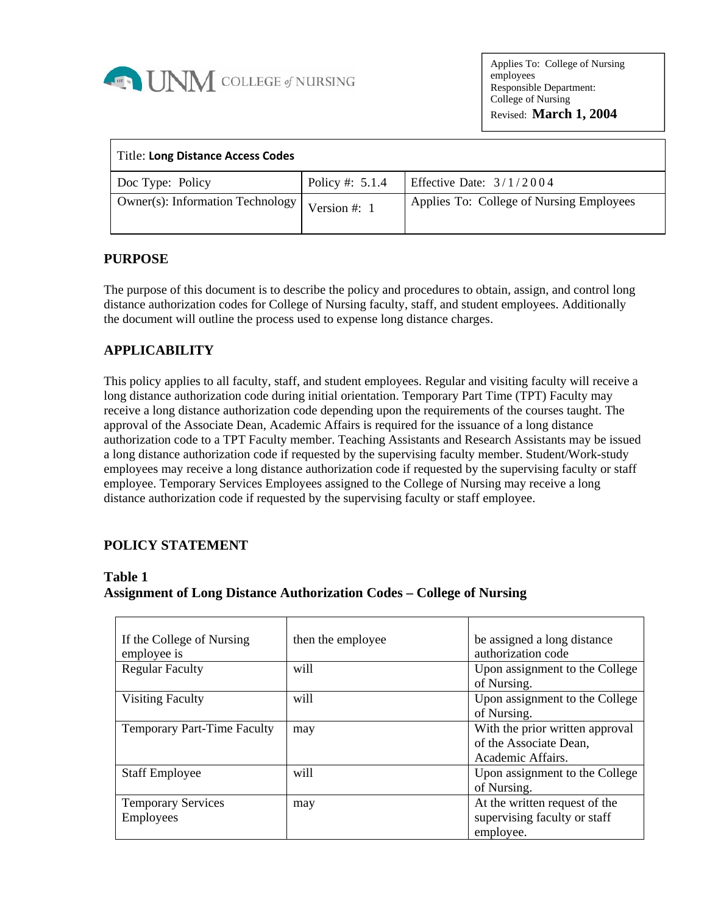

Applies To: College of Nursing employees Responsible Department: College of Nursing Revised: **March 1, 2004**

| Title: Long Distance Access Codes       |                   |                                          |
|-----------------------------------------|-------------------|------------------------------------------|
| Doc Type: Policy                        | Policy #: $5.1.4$ | Effective Date: $3/1/2004$               |
| <b>Owner(s): Information Technology</b> | Version #: $1$    | Applies To: College of Nursing Employees |

#### **PURPOSE**

The purpose of this document is to describe the policy and procedures to obtain, assign, and control long distance authorization codes for College of Nursing faculty, staff, and student employees. Additionally the document will outline the process used to expense long distance charges.

# **APPLICABILITY**

This policy applies to all faculty, staff, and student employees. Regular and visiting faculty will receive a long distance authorization code during initial orientation. Temporary Part Time (TPT) Faculty may receive a long distance authorization code depending upon the requirements of the courses taught. The approval of the Associate Dean, Academic Affairs is required for the issuance of a long distance authorization code to a TPT Faculty member. Teaching Assistants and Research Assistants may be issued a long distance authorization code if requested by the supervising faculty member. Student/Work-study employees may receive a long distance authorization code if requested by the supervising faculty or staff employee. Temporary Services Employees assigned to the College of Nursing may receive a long distance authorization code if requested by the supervising faculty or staff employee.

# **POLICY STATEMENT**

#### **Table 1**

#### **Assignment of Long Distance Authorization Codes – College of Nursing**

| If the College of Nursing<br>employee is | then the employee | be assigned a long distance<br>authorization code                              |  |
|------------------------------------------|-------------------|--------------------------------------------------------------------------------|--|
| <b>Regular Faculty</b>                   | will              | Upon assignment to the College<br>of Nursing.                                  |  |
| <b>Visiting Faculty</b>                  | will              | Upon assignment to the College<br>of Nursing.                                  |  |
| <b>Temporary Part-Time Faculty</b>       | may               | With the prior written approval<br>of the Associate Dean,<br>Academic Affairs. |  |
| <b>Staff Employee</b>                    | will              | Upon assignment to the College<br>of Nursing.                                  |  |
| <b>Temporary Services</b><br>Employees   | may               | At the written request of the<br>supervising faculty or staff<br>employee.     |  |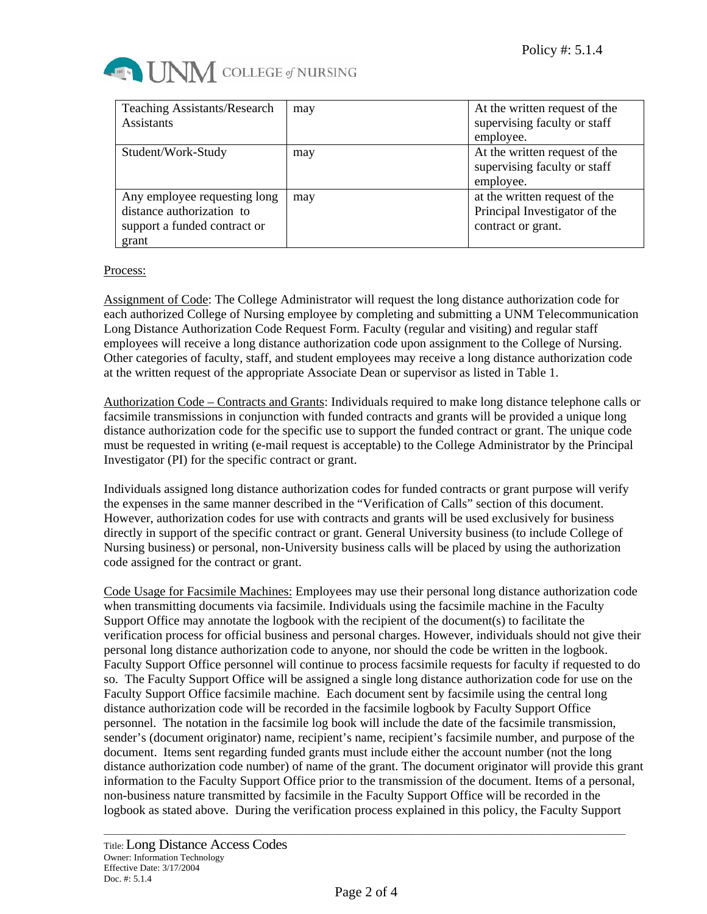

| <b>Teaching Assistants/Research</b><br><b>Assistants</b>                                           | may | At the written request of the<br>supervising faculty or staff<br>employee.           |
|----------------------------------------------------------------------------------------------------|-----|--------------------------------------------------------------------------------------|
| Student/Work-Study                                                                                 | may | At the written request of the<br>supervising faculty or staff<br>employee.           |
| Any employee requesting long<br>distance authorization to<br>support a funded contract or<br>grant | may | at the written request of the<br>Principal Investigator of the<br>contract or grant. |

#### Process:

Assignment of Code: The College Administrator will request the long distance authorization code for each authorized College of Nursing employee by completing and submitting a UNM Telecommunication Long Distance Authorization Code Request Form. Faculty (regular and visiting) and regular staff employees will receive a long distance authorization code upon assignment to the College of Nursing. Other categories of faculty, staff, and student employees may receive a long distance authorization code at the written request of the appropriate Associate Dean or supervisor as listed in Table 1.

Authorization Code – Contracts and Grants: Individuals required to make long distance telephone calls or facsimile transmissions in conjunction with funded contracts and grants will be provided a unique long distance authorization code for the specific use to support the funded contract or grant. The unique code must be requested in writing (e-mail request is acceptable) to the College Administrator by the Principal Investigator (PI) for the specific contract or grant.

Individuals assigned long distance authorization codes for funded contracts or grant purpose will verify the expenses in the same manner described in the "Verification of Calls" section of this document. However, authorization codes for use with contracts and grants will be used exclusively for business directly in support of the specific contract or grant. General University business (to include College of Nursing business) or personal, non-University business calls will be placed by using the authorization code assigned for the contract or grant.

Code Usage for Facsimile Machines: Employees may use their personal long distance authorization code when transmitting documents via facsimile. Individuals using the facsimile machine in the Faculty Support Office may annotate the logbook with the recipient of the document(s) to facilitate the verification process for official business and personal charges. However, individuals should not give their personal long distance authorization code to anyone, nor should the code be written in the logbook. Faculty Support Office personnel will continue to process facsimile requests for faculty if requested to do so. The Faculty Support Office will be assigned a single long distance authorization code for use on the Faculty Support Office facsimile machine. Each document sent by facsimile using the central long distance authorization code will be recorded in the facsimile logbook by Faculty Support Office personnel. The notation in the facsimile log book will include the date of the facsimile transmission, sender's (document originator) name, recipient's name, recipient's facsimile number, and purpose of the document. Items sent regarding funded grants must include either the account number (not the long distance authorization code number) of name of the grant. The document originator will provide this grant information to the Faculty Support Office prior to the transmission of the document. Items of a personal, non-business nature transmitted by facsimile in the Faculty Support Office will be recorded in the logbook as stated above. During the verification process explained in this policy, the Faculty Support

\_\_\_\_\_\_\_\_\_\_\_\_\_\_\_\_\_\_\_\_\_\_\_\_\_\_\_\_\_\_\_\_\_\_\_\_\_\_\_\_\_\_\_\_\_\_\_\_\_\_\_\_\_\_\_\_\_\_\_\_\_\_\_\_\_\_\_\_\_\_\_\_\_\_\_\_\_\_\_\_\_\_\_\_\_\_\_\_\_\_\_\_\_\_\_\_\_\_\_\_\_\_\_\_\_\_\_\_\_\_\_\_\_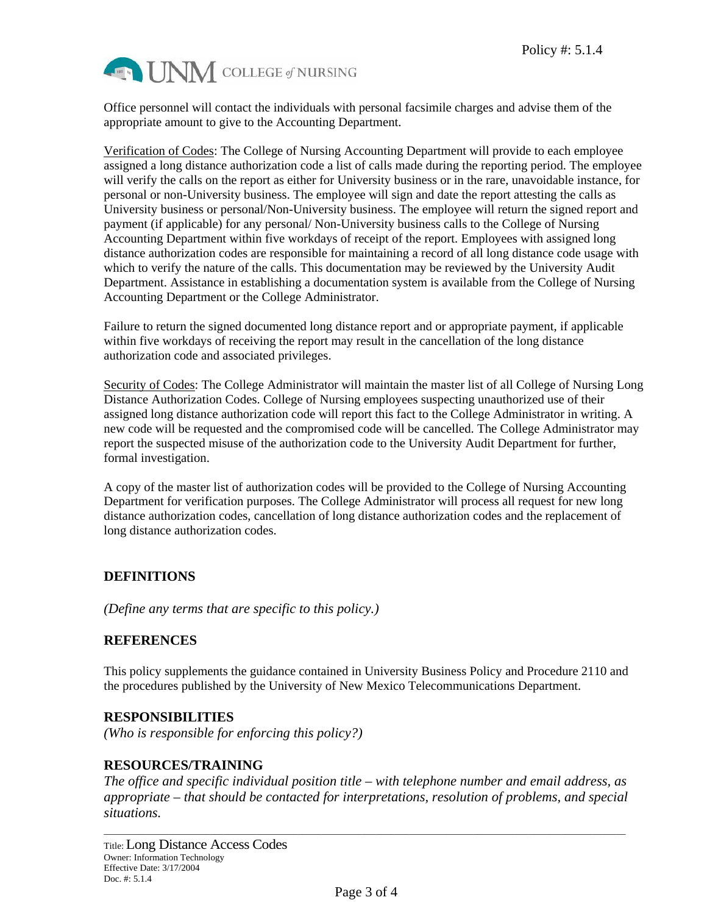

Office personnel will contact the individuals with personal facsimile charges and advise them of the appropriate amount to give to the Accounting Department.

Verification of Codes: The College of Nursing Accounting Department will provide to each employee assigned a long distance authorization code a list of calls made during the reporting period. The employee will verify the calls on the report as either for University business or in the rare, unavoidable instance, for personal or non-University business. The employee will sign and date the report attesting the calls as University business or personal/Non-University business. The employee will return the signed report and payment (if applicable) for any personal/ Non-University business calls to the College of Nursing Accounting Department within five workdays of receipt of the report. Employees with assigned long distance authorization codes are responsible for maintaining a record of all long distance code usage with which to verify the nature of the calls. This documentation may be reviewed by the University Audit Department. Assistance in establishing a documentation system is available from the College of Nursing Accounting Department or the College Administrator.

Failure to return the signed documented long distance report and or appropriate payment, if applicable within five workdays of receiving the report may result in the cancellation of the long distance authorization code and associated privileges.

Security of Codes: The College Administrator will maintain the master list of all College of Nursing Long Distance Authorization Codes. College of Nursing employees suspecting unauthorized use of their assigned long distance authorization code will report this fact to the College Administrator in writing. A new code will be requested and the compromised code will be cancelled. The College Administrator may report the suspected misuse of the authorization code to the University Audit Department for further, formal investigation.

A copy of the master list of authorization codes will be provided to the College of Nursing Accounting Department for verification purposes. The College Administrator will process all request for new long distance authorization codes, cancellation of long distance authorization codes and the replacement of long distance authorization codes.

# **DEFINITIONS**

*(Define any terms that are specific to this policy.)*

# **REFERENCES**

This policy supplements the guidance contained in University Business Policy and Procedure 2110 and the procedures published by the University of New Mexico Telecommunications Department.

# **RESPONSIBILITIES**

*(Who is responsible for enforcing this policy?)*

# **RESOURCES/TRAINING**

*The office and specific individual position title – with telephone number and email address, as appropriate – that should be contacted for interpretations, resolution of problems, and special situations.* 

\_\_\_\_\_\_\_\_\_\_\_\_\_\_\_\_\_\_\_\_\_\_\_\_\_\_\_\_\_\_\_\_\_\_\_\_\_\_\_\_\_\_\_\_\_\_\_\_\_\_\_\_\_\_\_\_\_\_\_\_\_\_\_\_\_\_\_\_\_\_\_\_\_\_\_\_\_\_\_\_\_\_\_\_\_\_\_\_\_\_\_\_\_\_\_\_\_\_\_\_\_\_\_\_\_\_\_\_\_\_\_\_\_